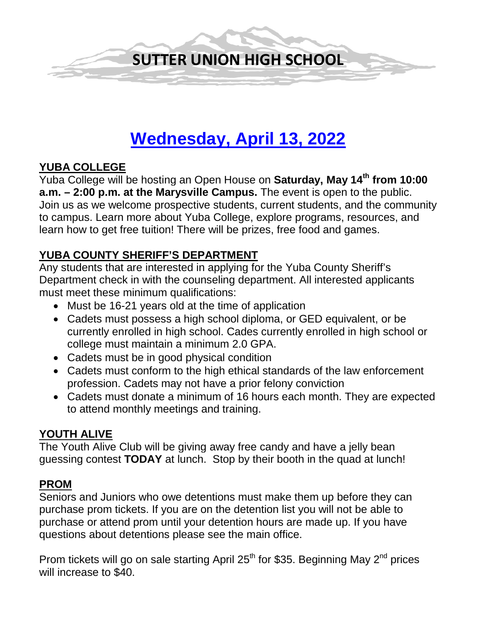

# **Wednesday, April 13, 2022**

# **YUBA COLLEGE**

Yuba College will be hosting an Open House on **Saturday, May 14th from 10:00 a.m. – 2:00 p.m. at the Marysville Campus.** The event is open to the public. Join us as we welcome prospective students, current students, and the community to campus. Learn more about Yuba College, explore programs, resources, and learn how to get free tuition! There will be prizes, free food and games.

# **YUBA COUNTY SHERIFF'S DEPARTMENT**

Any students that are interested in applying for the Yuba County Sheriff's Department check in with the counseling department. All interested applicants must meet these minimum qualifications:

- Must be 16-21 years old at the time of application
- Cadets must possess a high school diploma, or GED equivalent, or be currently enrolled in high school. Cades currently enrolled in high school or college must maintain a minimum 2.0 GPA.
- Cadets must be in good physical condition
- Cadets must conform to the high ethical standards of the law enforcement profession. Cadets may not have a prior felony conviction
- Cadets must donate a minimum of 16 hours each month. They are expected to attend monthly meetings and training.

# **YOUTH ALIVE**

The Youth Alive Club will be giving away free candy and have a jelly bean guessing contest **TODAY** at lunch. Stop by their booth in the quad at lunch!

# **PROM**

Seniors and Juniors who owe detentions must make them up before they can purchase prom tickets. If you are on the detention list you will not be able to purchase or attend prom until your detention hours are made up. If you have questions about detentions please see the main office.

Prom tickets will go on sale starting April 25<sup>th</sup> for \$35. Beginning May 2<sup>nd</sup> prices will increase to \$40.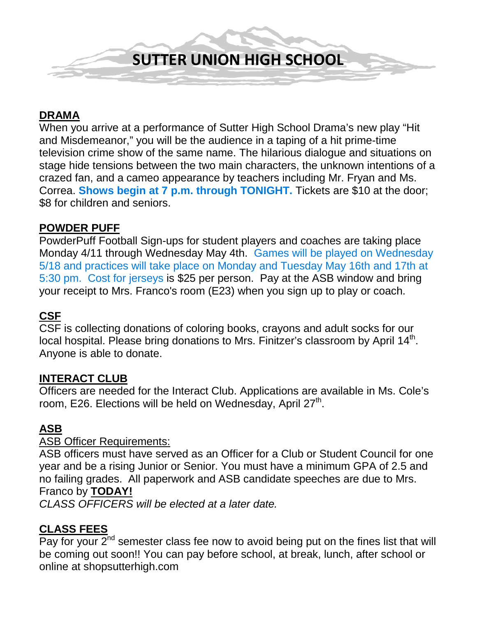

### **DRAMA**

When you arrive at a performance of Sutter High School Drama's new play "Hit and Misdemeanor," you will be the audience in a taping of a hit prime-time television crime show of the same name. The hilarious dialogue and situations on stage hide tensions between the two main characters, the unknown intentions of a crazed fan, and a cameo appearance by teachers including Mr. Fryan and Ms. Correa. **Shows begin at 7 p.m. through TONIGHT.** Tickets are \$10 at the door; \$8 for children and seniors.

#### **POWDER PUFF**

PowderPuff Football Sign-ups for student players and coaches are taking place Monday 4/11 through Wednesday May 4th. Games will be played on Wednesday 5/18 and practices will take place on Monday and Tuesday May 16th and 17th at 5:30 pm. Cost for jerseys is \$25 per person. Pay at the ASB window and bring your receipt to Mrs. Franco's room (E23) when you sign up to play or coach.

# **CSF**

CSF is collecting donations of coloring books, crayons and adult socks for our local hospital. Please bring donations to Mrs. Finitzer's classroom by April  $14<sup>th</sup>$ . Anyone is able to donate.

#### **INTERACT CLUB**

Officers are needed for the Interact Club. Applications are available in Ms. Cole's room, E26. Elections will be held on Wednesday, April  $27<sup>th</sup>$ .

#### **ASB**

#### ASB Officer Requirements:

ASB officers must have served as an Officer for a Club or Student Council for one year and be a rising Junior or Senior. You must have a minimum GPA of 2.5 and no failing grades. All paperwork and ASB candidate speeches are due to Mrs. Franco by **TODAY!**

*CLASS OFFICERS will be elected at a later date.* 

# **CLASS FEES**

Pay for your  $2^{nd}$  semester class fee now to avoid being put on the fines list that will be coming out soon!! You can pay before school, at break, lunch, after school or online at shopsutterhigh.com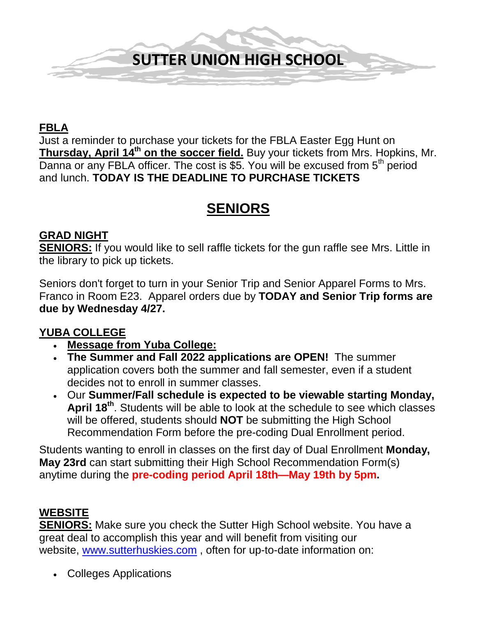

# **FBLA**

Just a reminder to purchase your tickets for the FBLA Easter Egg Hunt on **Thursday, April 14th on the soccer field.** Buy your tickets from Mrs. Hopkins, Mr. Danna or any FBLA officer. The cost is  $\overline{35}$ . You will be excused from  $5<sup>th</sup>$  period and lunch. **TODAY IS THE DEADLINE TO PURCHASE TICKETS**

# **SENIORS**

#### **GRAD NIGHT**

**SENIORS:** If you would like to sell raffle tickets for the gun raffle see Mrs. Little in the library to pick up tickets.

Seniors don't forget to turn in your Senior Trip and Senior Apparel Forms to Mrs. Franco in Room E23. Apparel orders due by **TODAY and Senior Trip forms are due by Wednesday 4/27.**

# **YUBA COLLEGE**

- **Message from Yuba College:**
- **The Summer and Fall 2022 applications are OPEN!** The summer application covers both the summer and fall semester, even if a student decides not to enroll in summer classes.
- Our **Summer/Fall schedule is expected to be viewable starting Monday, April 18th**. Students will be able to look at the schedule to see which classes will be offered, students should **NOT** be submitting the High School Recommendation Form before the pre-coding Dual Enrollment period.

Students wanting to enroll in classes on the first day of Dual Enrollment **Monday, May 23rd** can start submitting their High School Recommendation Form(s) anytime during the **pre-coding period April 18th—May 19th by 5pm.**

# **WEBSITE**

**SENIORS:** Make sure you check the Sutter High School website. You have a great deal to accomplish this year and will benefit from visiting our website, [www.sutterhuskies.com](http://www.sutterhuskies.com/) , often for up-to-date information on:

• Colleges Applications